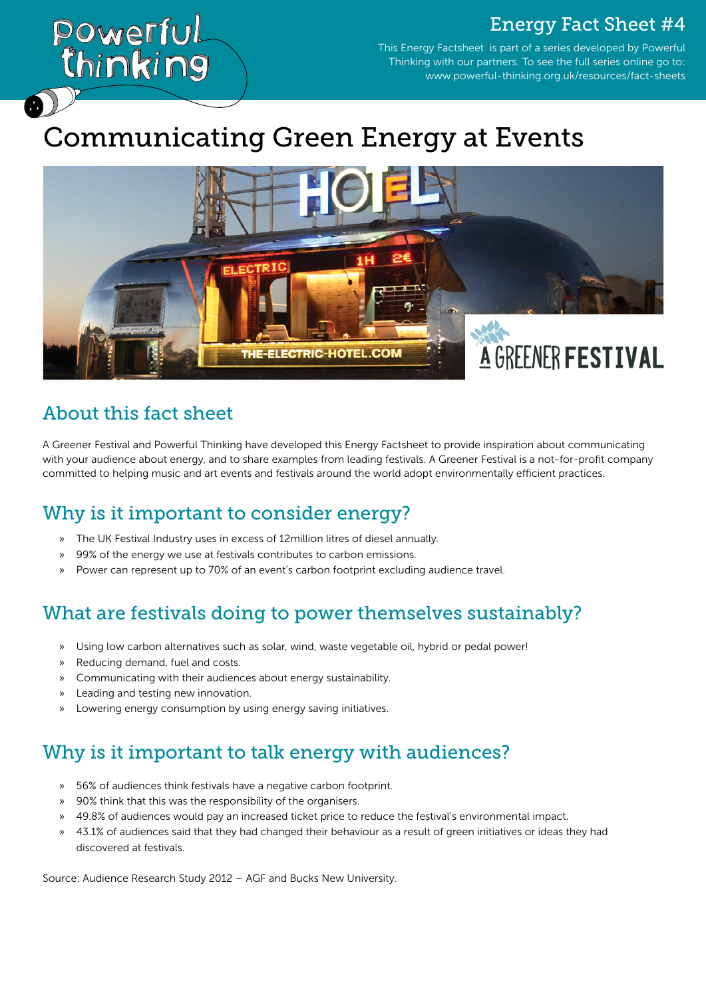### Energy Fact Sheet #4

This Energy Factsheet is part of a series developed by Powerful Thinking with our partners. To see the full series online go to: www.powerful-thinking.org.uk/resources/fact-sheets

# Communicating Green Energy at Events



### About this fact sheet

Powerful.

Chinking

A Greener Festival and Powerful Thinking have developed this Energy Factsheet to provide inspiration about communicating with your audience about energy, and to share examples from leading festivals. A Greener Festival is a not-for-profit company committed to helping music and art events and festivals around the world adopt environmentally efficient practices.

# Why is it important to consider energy?

- » The UK Festival Industry uses in excess of 12million litres of diesel annually.
- » 99% of the energy we use at festivals contributes to carbon emissions.
- » Power can represent up to 70% of an event's carbon footprint excluding audience travel.

### What are festivals doing to power themselves sustainably?

- » Using low carbon alternatives such as solar, wind, waste vegetable oil, hybrid or pedal power!
- » Reducing demand, fuel and costs.
- » Communicating with their audiences about energy sustainability.
- » Leading and testing new innovation.
- » Lowering energy consumption by using energy saving initiatives.

# Why is it important to talk energy with audiences?

- » 56% of audiences think festivals have a negative carbon footprint.
- » 90% think that this was the responsibility of the organisers.
- » 49.8% of audiences would pay an increased ticket price to reduce the festival's environmental impact.
- » 43.1% of audiences said that they had changed their behaviour as a result of green initiatives or ideas they had discovered at festivals.

Source: Audience Research Study 2012 – AGF and Bucks New University.